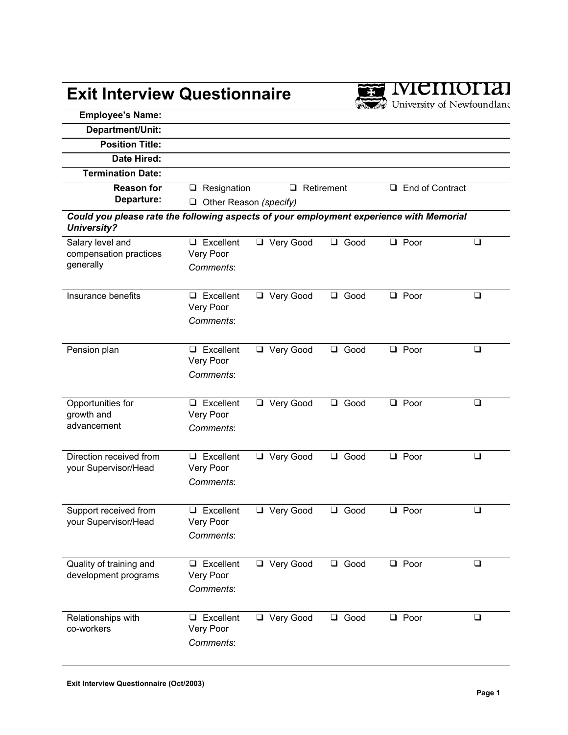## **Exit Interview Questionnaire**



| <b>Employee's Name:</b>                                                                                       |                               |                   |                |                           |        |  |
|---------------------------------------------------------------------------------------------------------------|-------------------------------|-------------------|----------------|---------------------------|--------|--|
| Department/Unit:                                                                                              |                               |                   |                |                           |        |  |
| <b>Position Title:</b>                                                                                        |                               |                   |                |                           |        |  |
| Date Hired:                                                                                                   |                               |                   |                |                           |        |  |
| <b>Termination Date:</b>                                                                                      |                               |                   |                |                           |        |  |
| <b>Reason for</b>                                                                                             | $\Box$ Resignation            | $\Box$ Retirement |                | $\Box$<br>End of Contract |        |  |
| Departure:                                                                                                    | $\Box$ Other Reason (specify) |                   |                |                           |        |  |
| Could you please rate the following aspects of your employment experience with Memorial<br><b>University?</b> |                               |                   |                |                           |        |  |
| Salary level and                                                                                              | $\Box$ Excellent              | □ Very Good       | □ Good         | $\Box$ Poor               | $\Box$ |  |
| compensation practices<br>generally                                                                           | Very Poor                     |                   |                |                           |        |  |
|                                                                                                               | Comments:                     |                   |                |                           |        |  |
|                                                                                                               |                               |                   |                |                           |        |  |
| Insurance benefits                                                                                            | $\Box$ Excellent<br>Very Poor | □ Very Good       | <b>Q</b> Good  | $\Box$ Poor               | $\Box$ |  |
|                                                                                                               | Comments:                     |                   |                |                           |        |  |
|                                                                                                               |                               |                   |                |                           |        |  |
| Pension plan                                                                                                  | $\Box$ Excellent              | □ Very Good       | $\Box$<br>Good | $\Box$ Poor               | $\Box$ |  |
|                                                                                                               | Very Poor                     |                   |                |                           |        |  |
|                                                                                                               | Comments:                     |                   |                |                           |        |  |
|                                                                                                               |                               |                   |                |                           |        |  |
| Opportunities for                                                                                             | $\Box$ Excellent              | □ Very Good       | Q Good         | $\Box$ Poor               | $\Box$ |  |
| growth and                                                                                                    | Very Poor                     |                   |                |                           |        |  |
| advancement                                                                                                   | Comments:                     |                   |                |                           |        |  |
|                                                                                                               |                               |                   |                |                           |        |  |
| Direction received from                                                                                       | $\Box$ Excellent              | □ Very Good       | □ Good         | $\Box$ Poor               | $\Box$ |  |
| your Supervisor/Head                                                                                          | Very Poor<br>Comments:        |                   |                |                           |        |  |
|                                                                                                               |                               |                   |                |                           |        |  |
| Support received from                                                                                         | $\Box$ Excellent              | Very Good         | Good<br>$\Box$ | $\Box$ Poor               | $\Box$ |  |
| your Supervisor/Head                                                                                          | Very Poor                     |                   |                |                           |        |  |
|                                                                                                               | Comments:                     |                   |                |                           |        |  |
|                                                                                                               |                               |                   |                |                           |        |  |
| Quality of training and                                                                                       | $\Box$ Excellent              | Very Good         | Good<br>❏      | $\Box$ Poor               | $\Box$ |  |
| development programs                                                                                          | Very Poor                     |                   |                |                           |        |  |
|                                                                                                               | Comments:                     |                   |                |                           |        |  |
|                                                                                                               |                               |                   |                |                           |        |  |
| Relationships with                                                                                            | $\Box$ Excellent              | Very Good         | □ Good         | $\Box$ Poor               | $\Box$ |  |
| co-workers                                                                                                    | Very Poor                     |                   |                |                           |        |  |
|                                                                                                               | Comments:                     |                   |                |                           |        |  |